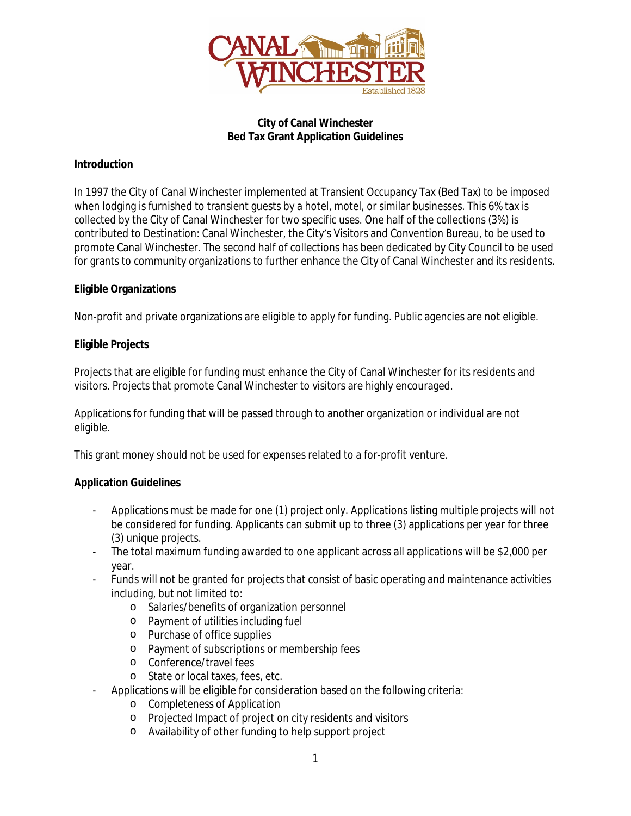

### **City of Canal Winchester Bed Tax Grant Application Guidelines**

## **Introduction**

In 1997 the City of Canal Winchester implemented at Transient Occupancy Tax (Bed Tax) to be imposed when lodging is furnished to transient guests by a hotel, motel, or similar businesses. This 6% tax is collected by the City of Canal Winchester for two specific uses. One half of the collections (3%) is contributed to Destination: Canal Winchester, the City's Visitors and Convention Bureau, to be used to promote Canal Winchester. The second half of collections has been dedicated by City Council to be used for grants to community organizations to further enhance the City of Canal Winchester and its residents.

### **Eligible Organizations**

Non-profit and private organizations are eligible to apply for funding. Public agencies are not eligible.

### **Eligible Projects**

Projects that are eligible for funding must enhance the City of Canal Winchester for its residents and visitors. Projects that promote Canal Winchester to visitors are highly encouraged.

Applications for funding that will be passed through to another organization or individual are not eligible.

This grant money should not be used for expenses related to a for-profit venture.

#### **Application Guidelines**

- Applications must be made for one (1) project only. Applications listing multiple projects will not be considered for funding. Applicants can submit up to three (3) applications per year for three (3) unique projects.
- The total maximum funding awarded to one applicant across all applications will be \$2,000 per year.
- Funds will not be granted for projects that consist of basic operating and maintenance activities including, but not limited to:
	- o Salaries/benefits of organization personnel
	- o Payment of utilities including fuel
	- o Purchase of office supplies
	- o Payment of subscriptions or membership fees
	- o Conference/travel fees
	- o State or local taxes, fees, etc.
- Applications will be eligible for consideration based on the following criteria:
	- o Completeness of Application
	- o Projected Impact of project on city residents and visitors
	- o Availability of other funding to help support project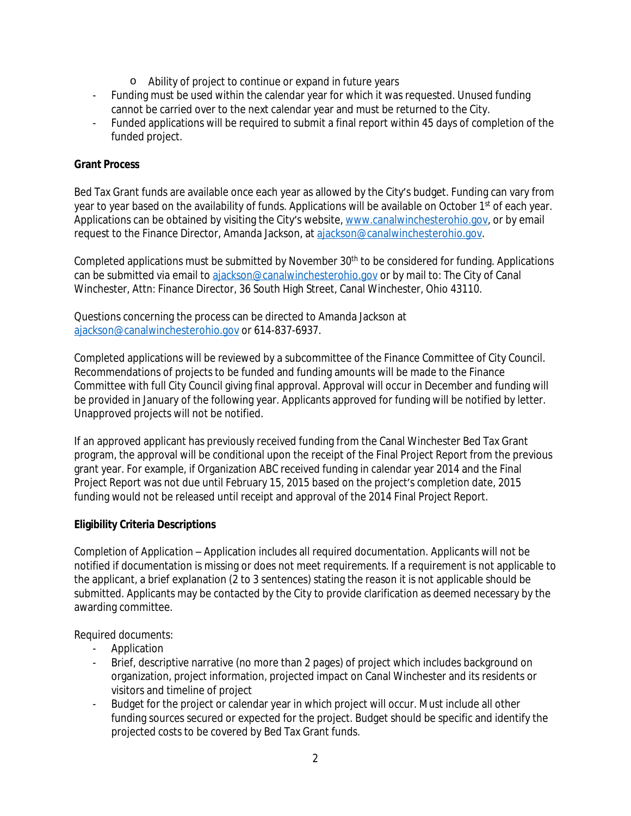- o Ability of project to continue or expand in future years
- Funding must be used within the calendar year for which it was requested. Unused funding cannot be carried over to the next calendar year and must be returned to the City.
- Funded applications will be required to submit a final report within 45 days of completion of the funded project.

### **Grant Process**

Bed Tax Grant funds are available once each year as allowed by the City's budget. Funding can vary from year to year based on the availability of funds. Applications will be available on October 1<sup>st</sup> of each year. Applications can be obtained by visiting the City's website, [www.canalwinchesterohio.gov](http://www.canalwinchesterohio.gov), or by email request to the Finance Director, Amanda Jackson, at [ajackson@canalwinchesterohio.gov.](mailto:ajackson@canalwinchesterohio.gov)

Completed applications must be submitted by November 30<sup>th</sup> to be considered for funding. Applications can be submitted via email to [ajackson@canalwinchesterohio.gov](mailto:ajackson@canalwinchesterohio.gov) or by mail to: The City of Canal Winchester, Attn: Finance Director, 36 South High Street, Canal Winchester, Ohio 43110.

Questions concerning the process can be directed to Amanda Jackson at [ajackson@canalwinchesterohio.gov](mailto:ajackson@canalwinchesterohio.gov) or 614-837-6937.

Completed applications will be reviewed by a subcommittee of the Finance Committee of City Council. Recommendations of projects to be funded and funding amounts will be made to the Finance Committee with full City Council giving final approval. Approval will occur in December and funding will be provided in January of the following year. Applicants approved for funding will be notified by letter. Unapproved projects will not be notified.

If an approved applicant has previously received funding from the Canal Winchester Bed Tax Grant program, the approval will be conditional upon the receipt of the Final Project Report from the previous grant year. For example, if Organization ABC received funding in calendar year 2014 and the Final Project Report was not due until February 15, 2015 based on the project's completion date, 2015 funding would not be released until receipt and approval of the 2014 Final Project Report.

#### **Eligibility Criteria Descriptions**

*Completion of Application* – Application includes all required documentation. Applicants will not be notified if documentation is missing or does not meet requirements. If a requirement is not applicable to the applicant, a brief explanation (2 to 3 sentences) stating the reason it is not applicable should be submitted. Applicants may be contacted by the City to provide clarification as deemed necessary by the awarding committee.

Required documents:

- Application
- Brief, descriptive narrative (no more than 2 pages) of project which includes background on organization, project information, projected impact on Canal Winchester and its residents or visitors and timeline of project
- Budget for the project or calendar year in which project will occur. Must include all other funding sources secured or expected for the project. Budget should be specific and identify the projected costs to be covered by Bed Tax Grant funds.